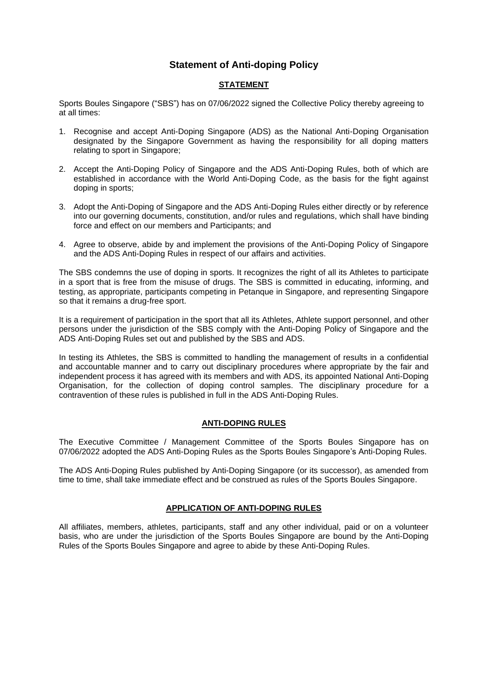# **Statement of Anti-doping Policy**

# **STATEMENT**

Sports Boules Singapore ("SBS") has on 07/06/2022 signed the Collective Policy thereby agreeing to at all times:

- 1. Recognise and accept Anti-Doping Singapore (ADS) as the National Anti-Doping Organisation designated by the Singapore Government as having the responsibility for all doping matters relating to sport in Singapore;
- 2. Accept the Anti-Doping Policy of Singapore and the ADS Anti-Doping Rules, both of which are established in accordance with the World Anti-Doping Code, as the basis for the fight against doping in sports;
- 3. Adopt the Anti-Doping of Singapore and the ADS Anti-Doping Rules either directly or by reference into our governing documents, constitution, and/or rules and regulations, which shall have binding force and effect on our members and Participants; and
- 4. Agree to observe, abide by and implement the provisions of the Anti-Doping Policy of Singapore and the ADS Anti-Doping Rules in respect of our affairs and activities.

The SBS condemns the use of doping in sports. It recognizes the right of all its Athletes to participate in a sport that is free from the misuse of drugs. The SBS is committed in educating, informing, and testing, as appropriate, participants competing in Petanque in Singapore, and representing Singapore so that it remains a drug-free sport.

It is a requirement of participation in the sport that all its Athletes, Athlete support personnel, and other persons under the jurisdiction of the SBS comply with the Anti-Doping Policy of Singapore and the ADS Anti-Doping Rules set out and published by the SBS and ADS.

In testing its Athletes, the SBS is committed to handling the management of results in a confidential and accountable manner and to carry out disciplinary procedures where appropriate by the fair and independent process it has agreed with its members and with ADS, its appointed National Anti-Doping Organisation, for the collection of doping control samples. The disciplinary procedure for a contravention of these rules is published in full in the ADS Anti-Doping Rules.

### **ANTI-DOPING RULES**

The Executive Committee / Management Committee of the Sports Boules Singapore has on 07/06/2022 adopted the ADS Anti-Doping Rules as the Sports Boules Singapore's Anti-Doping Rules.

The ADS Anti-Doping Rules published by Anti-Doping Singapore (or its successor), as amended from time to time, shall take immediate effect and be construed as rules of the Sports Boules Singapore.

### **APPLICATION OF ANTI-DOPING RULES**

All affiliates, members, athletes, participants, staff and any other individual, paid or on a volunteer basis, who are under the jurisdiction of the Sports Boules Singapore are bound by the Anti-Doping Rules of the Sports Boules Singapore and agree to abide by these Anti-Doping Rules.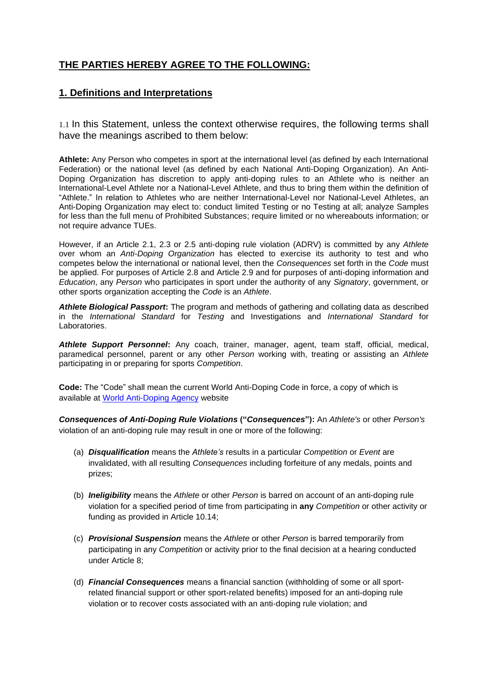# **THE PARTIES HEREBY AGREE TO THE FOLLOWING:**

# **1. Definitions and Interpretations**

1.1 In this Statement, unless the context otherwise requires, the following terms shall have the meanings ascribed to them below:

**Athlete:** Any Person who competes in sport at the international level (as defined by each International Federation) or the national level (as defined by each National Anti-Doping Organization). An Anti-Doping Organization has discretion to apply anti-doping rules to an Athlete who is neither an International-Level Athlete nor a National-Level Athlete, and thus to bring them within the definition of "Athlete." In relation to Athletes who are neither International-Level nor National-Level Athletes, an Anti-Doping Organization may elect to: conduct limited Testing or no Testing at all; analyze Samples for less than the full menu of Prohibited Substances; require limited or no whereabouts information; or not require advance TUEs.

However, if an Article 2.1, 2.3 or 2.5 anti-doping rule violation (ADRV) is committed by any *Athlete*  over whom an *Anti-Doping Organization* has elected to exercise its authority to test and who competes below the international or national level, then the *Consequences* set forth in the *Code* must be applied. For purposes of Article 2.8 and Article 2.9 and for purposes of anti-doping information and *Education*, any *Person* who participates in sport under the authority of any *Signatory*, government, or other sports organization accepting the *Code* is an *Athlete*.

*Athlete Biological Passport***:** The program and methods of gathering and collating data as described in the *International Standard* for *Testing* and Investigations and *International Standard* for Laboratories.

*Athlete Support Personnel***:** Any coach, trainer, manager, agent, team staff, official, medical, paramedical personnel, parent or any other *Person* working with, treating or assisting an *Athlete*  participating in or preparing for sports *Competition*.

**Code:** The "Code" shall mean the current World Anti-Doping Code in force, a copy of which is available at [World Anti-Doping Agency](https://www.wada-ama.org/en/resources/the-code/world-anti-doping-code) website

*Consequences of Anti-Doping Rule Violations* **("***Consequences***"):** An *Athlete's* or other *Person's*  violation of an anti-doping rule may result in one or more of the following:

- (a) *Disqualification* means the *Athlete's* results in a particular *Competition* or *Event* are invalidated, with all resulting *Consequences* including forfeiture of any medals, points and prizes;
- (b) *Ineligibility* means the *Athlete* or other *Person* is barred on account of an anti-doping rule violation for a specified period of time from participating in **any** *Competition* or other activity or funding as provided in Article 10.14;
- (c) *Provisional Suspension* means the *Athlete* or other *Person* is barred temporarily from participating in any *Competition* or activity prior to the final decision at a hearing conducted under Article 8;
- (d) *Financial Consequences* means a financial sanction (withholding of some or all sportrelated financial support or other sport-related benefits) imposed for an anti-doping rule violation or to recover costs associated with an anti-doping rule violation; and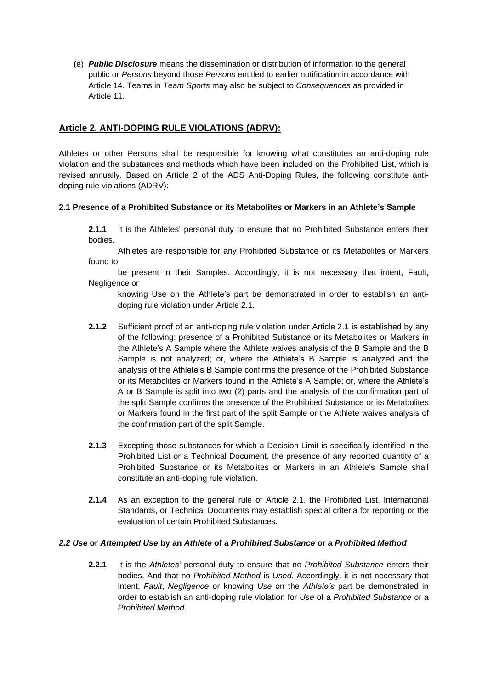(e) *Public Disclosure* means the dissemination or distribution of information to the general public or *Persons* beyond those *Persons* entitled to earlier notification in accordance with Article 14. Teams in *Team Sports* may also be subject to *Consequences* as provided in Article 11.

# **Article 2. ANTI-DOPING RULE VIOLATIONS (ADRV):**

Athletes or other Persons shall be responsible for knowing what constitutes an anti-doping rule violation and the substances and methods which have been included on the Prohibited List, which is revised annually. Based on Article 2 of the ADS Anti-Doping Rules, the following constitute antidoping rule violations (ADRV):

### **2.1 Presence of a Prohibited Substance or its Metabolites or Markers in an Athlete's Sample**

**2.1.1** It is the Athletes' personal duty to ensure that no Prohibited Substance enters their bodies.

Athletes are responsible for any Prohibited Substance or its Metabolites or Markers found to

be present in their Samples. Accordingly, it is not necessary that intent, Fault, Negligence or

knowing Use on the Athlete's part be demonstrated in order to establish an antidoping rule violation under Article 2.1.

- **2.1.2** Sufficient proof of an anti-doping rule violation under Article 2.1 is established by any of the following: presence of a Prohibited Substance or its Metabolites or Markers in the Athlete's A Sample where the Athlete waives analysis of the B Sample and the B Sample is not analyzed; or, where the Athlete's B Sample is analyzed and the analysis of the Athlete's B Sample confirms the presence of the Prohibited Substance or its Metabolites or Markers found in the Athlete's A Sample; or, where the Athlete's A or B Sample is split into two (2) parts and the analysis of the confirmation part of the split Sample confirms the presence of the Prohibited Substance or its Metabolites or Markers found in the first part of the split Sample or the Athlete waives analysis of the confirmation part of the split Sample.
- **2.1.3** Excepting those substances for which a Decision Limit is specifically identified in the Prohibited List or a Technical Document, the presence of any reported quantity of a Prohibited Substance or its Metabolites or Markers in an Athlete's Sample shall constitute an anti-doping rule violation.
- **2.1.4** As an exception to the general rule of Article 2.1, the Prohibited List, International Standards, or Technical Documents may establish special criteria for reporting or the evaluation of certain Prohibited Substances.

### *2.2 Use* **or** *Attempted Use* **by an** *Athlete* **of a** *Prohibited Substance* **or a** *Prohibited Method*

**2.2.1** It is the *Athletes'* personal duty to ensure that no *Prohibited Substance* enters their bodies, And that no *Prohibited Method* is *Used*. Accordingly, it is not necessary that intent, *Fault*, *Negligence* or knowing *Use* on the *Athlete's* part be demonstrated in order to establish an anti-doping rule violation for *Use* of a *Prohibited Substance* or a *Prohibited Method*.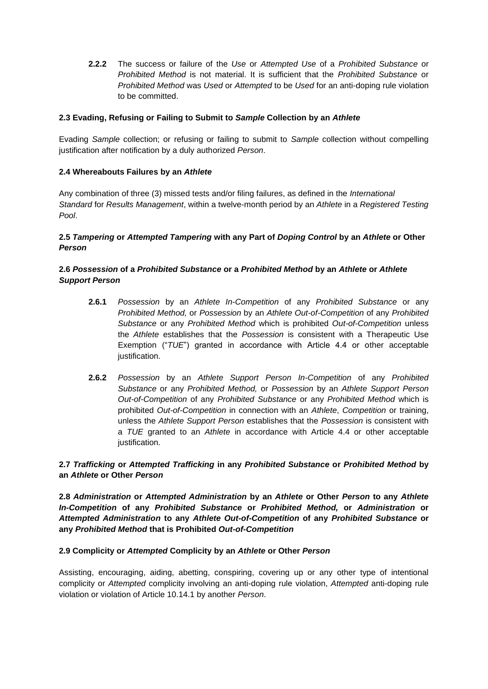**2.2.2** The success or failure of the *Use* or *Attempted Use* of a *Prohibited Substance* or *Prohibited Method* is not material. It is sufficient that the *Prohibited Substance* or *Prohibited Method* was *Used* or *Attempted* to be *Used* for an anti-doping rule violation to be committed.

# **2.3 Evading, Refusing or Failing to Submit to** *Sample* **Collection by an** *Athlete*

Evading *Sample* collection; or refusing or failing to submit to *Sample* collection without compelling justification after notification by a duly authorized *Person*.

### **2.4 Whereabouts Failures by an** *Athlete*

Any combination of three (3) missed tests and/or filing failures, as defined in the *International Standard* for *Results Management*, within a twelve-month period by an *Athlete* in a *Registered Testing Pool*.

# **2.5** *Tampering* **or** *Attempted Tampering* **with any Part of** *Doping Control* **by an** *Athlete* **or Other**  *Person*

# **2.6** *Possession* **of a** *Prohibited Substance* **or a** *Prohibited Method* **by an** *Athlete* **or** *Athlete Support Person*

- **2.6.1** *Possession* by an *Athlete In-Competition* of any *Prohibited Substance* or any *Prohibited Method,* or *Possession* by an *Athlete Out-of-Competition* of any *Prohibited Substance* or any *Prohibited Method* which is prohibited *Out-of-Competition* unless the *Athlete* establishes that the *Possession* is consistent with a Therapeutic Use Exemption ("*TUE*") granted in accordance with Article 4.4 or other acceptable justification.
- **2.6.2** *Possession* by an *Athlete Support Person In-Competition* of any *Prohibited Substance* or any *Prohibited Method,* or *Possession* by an *Athlete Support Person Out-of-Competition* of any *Prohibited Substance* or any *Prohibited Method* which is prohibited *Out-of-Competition* in connection with an *Athlete*, *Competition* or training, unless the *Athlete Support Person* establishes that the *Possession* is consistent with a *TUE* granted to an *Athlete* in accordance with Article 4.4 or other acceptable justification.

# **2.7** *Trafficking* **or** *Attempted Trafficking* **in any** *Prohibited Substance* **or** *Prohibited Method* **by an** *Athlete* **or Other** *Person*

**2.8** *Administration* **or** *Attempted Administration* **by an** *Athlete* **or Other** *Person* **to any** *Athlete In-Competition* **of any** *Prohibited Substance* **or** *Prohibited Method,* **or** *Administration* **or**  *Attempted Administration* **to any** *Athlete Out-of-Competition* **of any** *Prohibited Substance* **or any** *Prohibited Method* **that is Prohibited** *Out-of-Competition* 

### **2.9 Complicity or** *Attempted* **Complicity by an** *Athlete* **or Other** *Person*

Assisting, encouraging, aiding, abetting, conspiring, covering up or any other type of intentional complicity or *Attempted* complicity involving an anti-doping rule violation, *Attempted* anti-doping rule violation or violation of Article 10.14.1 by another *Person*.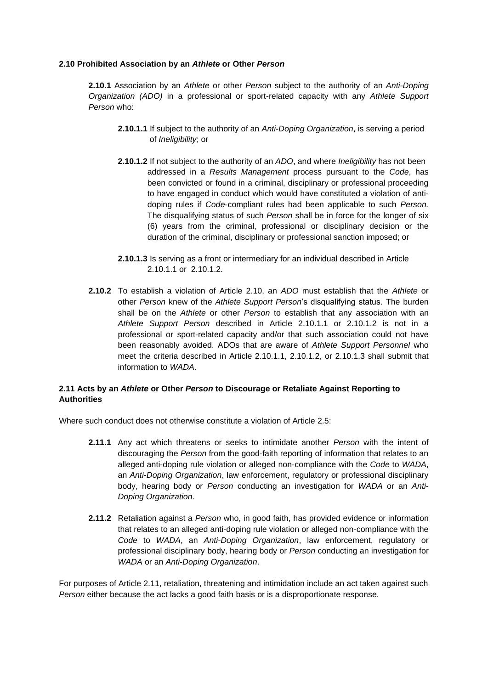### **2.10 Prohibited Association by an** *Athlete* **or Other** *Person*

**2.10.1** Association by an *Athlete* or other *Person* subject to the authority of an *Anti-Doping Organization (ADO)* in a professional or sport-related capacity with any *Athlete Support Person* who:

- **2.10.1.1** If subject to the authority of an *Anti-Doping Organization*, is serving a period of *Ineligibility*; or
- **2.10.1.2** If not subject to the authority of an *ADO*, and where *Ineligibility* has not been addressed in a *Results Management* process pursuant to the *Code*, has been convicted or found in a criminal, disciplinary or professional proceeding to have engaged in conduct which would have constituted a violation of antidoping rules if *Code*-compliant rules had been applicable to such *Person.*  The disqualifying status of such *Person* shall be in force for the longer of six (6) years from the criminal, professional or disciplinary decision or the duration of the criminal, disciplinary or professional sanction imposed; or
- **2.10.1.3** Is serving as a front or intermediary for an individual described in Article 2.10.1.1 or 2.10.1.2.
- **2.10.2** To establish a violation of Article 2.10, an *ADO* must establish that the *Athlete* or other *Person* knew of the *Athlete Support Person*'s disqualifying status. The burden shall be on the *Athlete* or other *Person* to establish that any association with an *Athlete Support Person* described in Article 2.10.1.1 or 2.10.1.2 is not in a professional or sport-related capacity and/or that such association could not have been reasonably avoided. ADOs that are aware of *Athlete Support Personnel* who meet the criteria described in Article 2.10.1.1, 2.10.1.2, or 2.10.1.3 shall submit that information to *WADA*.

# **2.11 Acts by an** *Athlete* **or Other** *Person* **to Discourage or Retaliate Against Reporting to Authorities**

Where such conduct does not otherwise constitute a violation of Article 2.5:

- **2.11.1** Any act which threatens or seeks to intimidate another *Person* with the intent of discouraging the *Person* from the good-faith reporting of information that relates to an alleged anti-doping rule violation or alleged non-compliance with the *Code* to *WADA*, an *Anti-Doping Organization*, law enforcement, regulatory or professional disciplinary body, hearing body or *Person* conducting an investigation for *WADA* or an *Anti-Doping Organization*.
- **2.11.2** Retaliation against a *Person* who, in good faith, has provided evidence or information that relates to an alleged anti-doping rule violation or alleged non-compliance with the *Code* to *WADA*, an *Anti-Doping Organization*, law enforcement, regulatory or professional disciplinary body, hearing body or *Person* conducting an investigation for *WADA* or an *Anti-Doping Organization*.

For purposes of Article 2.11, retaliation, threatening and intimidation include an act taken against such *Person* either because the act lacks a good faith basis or is a disproportionate response.